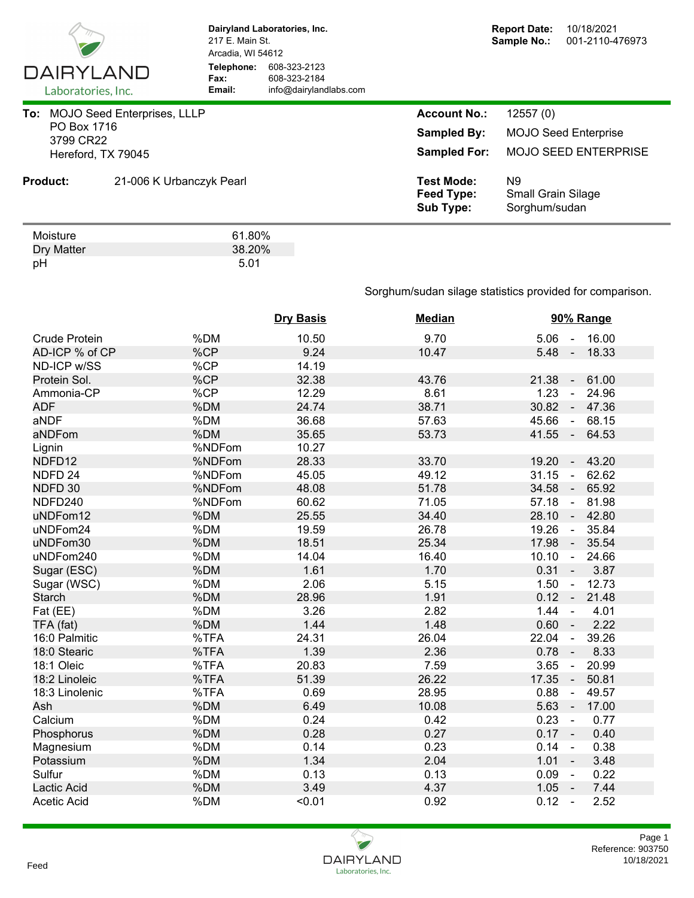

Dry Matter 38.20<br>pH 38.20 pH 5.01

**Dairyland Laboratories, Inc.** 217 E. Main St. Arcadia, WI 54612 **Telephone:** 608-323-2123 **Fax:** 608-323-2184<br> **Email:** info@dairyland **Email:** info@dairylandlabs.com

| To:             | <b>MOJO Seed Enterprises, LLLP</b><br>PO Box 1716<br>3799 CR22<br>Hereford, TX 79045 |                          | <b>Account No.:</b><br><b>Sampled By:</b><br><b>Sampled For:</b> | 12557(0)<br><b>MOJO Seed Enterprise</b><br><b>MOJO SEED ENTERPRISE</b> |
|-----------------|--------------------------------------------------------------------------------------|--------------------------|------------------------------------------------------------------|------------------------------------------------------------------------|
| <b>Product:</b> |                                                                                      | 21-006 K Urbanczyk Pearl | <b>Test Mode:</b><br>Feed Type:<br><b>Sub Type:</b>              | N9<br><b>Small Grain Silage</b><br>Sorghum/sudan                       |
|                 | Moisture<br>Dry Matter                                                               | 61.80%<br>38.20%         |                                                                  |                                                                        |

Sorghum/sudan silage statistics provided for comparison.

|                    |        | <b>Dry Basis</b> | <b>Median</b> | 90% Range                                   |
|--------------------|--------|------------------|---------------|---------------------------------------------|
| Crude Protein      | %DM    | 10.50            | 9.70          | 5.06<br>16.00<br>$\sim$                     |
| AD-ICP % of CP     | %CP    | 9.24             | 10.47         | $5.48 -$<br>18.33                           |
| ND-ICP w/SS        | %CP    | 14.19            |               |                                             |
| Protein Sol.       | %CP    | 32.38            | 43.76         | 21.38<br>61.00<br>$\sim$                    |
| Ammonia-CP         | %CP    | 12.29            | 8.61          | 1.23<br>24.96<br>$\sim$                     |
| <b>ADF</b>         | %DM    | 24.74            | 38.71         | 30.82<br>47.36<br>$\sim$ $-$                |
| aNDF               | %DM    | 36.68            | 57.63         | 45.66<br>68.15<br>$\sim$                    |
| aNDFom             | %DM    | 35.65            | 53.73         | 41.55<br>64.53<br>$\sim$                    |
| Lignin             | %NDFom | 10.27            |               |                                             |
| NDFD12             | %NDFom | 28.33            | 33.70         | 19.20<br>43.20<br>$\sim$                    |
| NDFD <sub>24</sub> | %NDFom | 45.05            | 49.12         | 31.15<br>62.62<br>$\sim$                    |
| NDFD 30            | %NDFom | 48.08            | 51.78         | 34.58<br>65.92<br>$\sim$                    |
| NDFD240            | %NDFom | 60.62            | 71.05         | 57.18<br>81.98<br>$\sim$                    |
| uNDFom12           | %DM    | 25.55            | 34.40         | 28.10<br>42.80<br>$\sim$ $\sim$             |
| uNDFom24           | %DM    | 19.59            | 26.78         | 19.26<br>35.84<br>$\sim$                    |
| uNDFom30           | %DM    | 18.51            | 25.34         | 17.98<br>35.54<br>$\sim$                    |
| uNDFom240          | %DM    | 14.04            | 16.40         | 10.10<br>24.66<br>$\sim$                    |
| Sugar (ESC)        | %DM    | 1.61             | 1.70          | 0.31<br>3.87<br>$\mathcal{L}_{\mathcal{A}}$ |
| Sugar (WSC)        | %DM    | 2.06             | 5.15          | 1.50<br>12.73<br>$\sim$                     |
| <b>Starch</b>      | %DM    | 28.96            | 1.91          | 0.12<br>21.48                               |
| Fat (EE)           | %DM    | 3.26             | 2.82          | 1.44<br>4.01<br>$\blacksquare$              |
| TFA (fat)          | %DM    | 1.44             | 1.48          | 0.60<br>2.22<br>$\sim$                      |
| 16:0 Palmitic      | %TFA   | 24.31            | 26.04         | 22.04<br>39.26<br>$\blacksquare$            |
| 18:0 Stearic       | %TFA   | 1.39             | 2.36          | 0.78<br>8.33<br>$\overline{\phantom{a}}$    |
| 18:1 Oleic         | %TFA   | 20.83            | 7.59          | 3.65<br>20.99<br>$\blacksquare$             |
| 18:2 Linoleic      | %TFA   | 51.39            | 26.22         | 17.35<br>50.81<br>$\sim$                    |
| 18:3 Linolenic     | %TFA   | 0.69             | 28.95         | 0.88<br>49.57<br>$\blacksquare$             |
| Ash                | %DM    | 6.49             | 10.08         | 5.63<br>17.00<br>$\sim$                     |
| Calcium            | %DM    | 0.24             | 0.42          | 0.23<br>0.77<br>$\sim$                      |
| Phosphorus         | %DM    | 0.28             | 0.27          | 0.17<br>0.40<br>$\sim$ $\sim$               |
| Magnesium          | %DM    | 0.14             | 0.23          | 0.14<br>0.38<br>$\sim$                      |
| Potassium          | %DM    | 1.34             | 2.04          | 1.01<br>3.48<br>$\sim$                      |
| Sulfur             | %DM    | 0.13             | 0.13          | 0.09<br>0.22<br>$\sim$                      |
| <b>Lactic Acid</b> | %DM    | 3.49             | 4.37          | 1.05<br>7.44<br>$\sim$ $-$                  |
| <b>Acetic Acid</b> | %DM    | < 0.01           | 0.92          | 0.12<br>2.52<br>$\sim$                      |